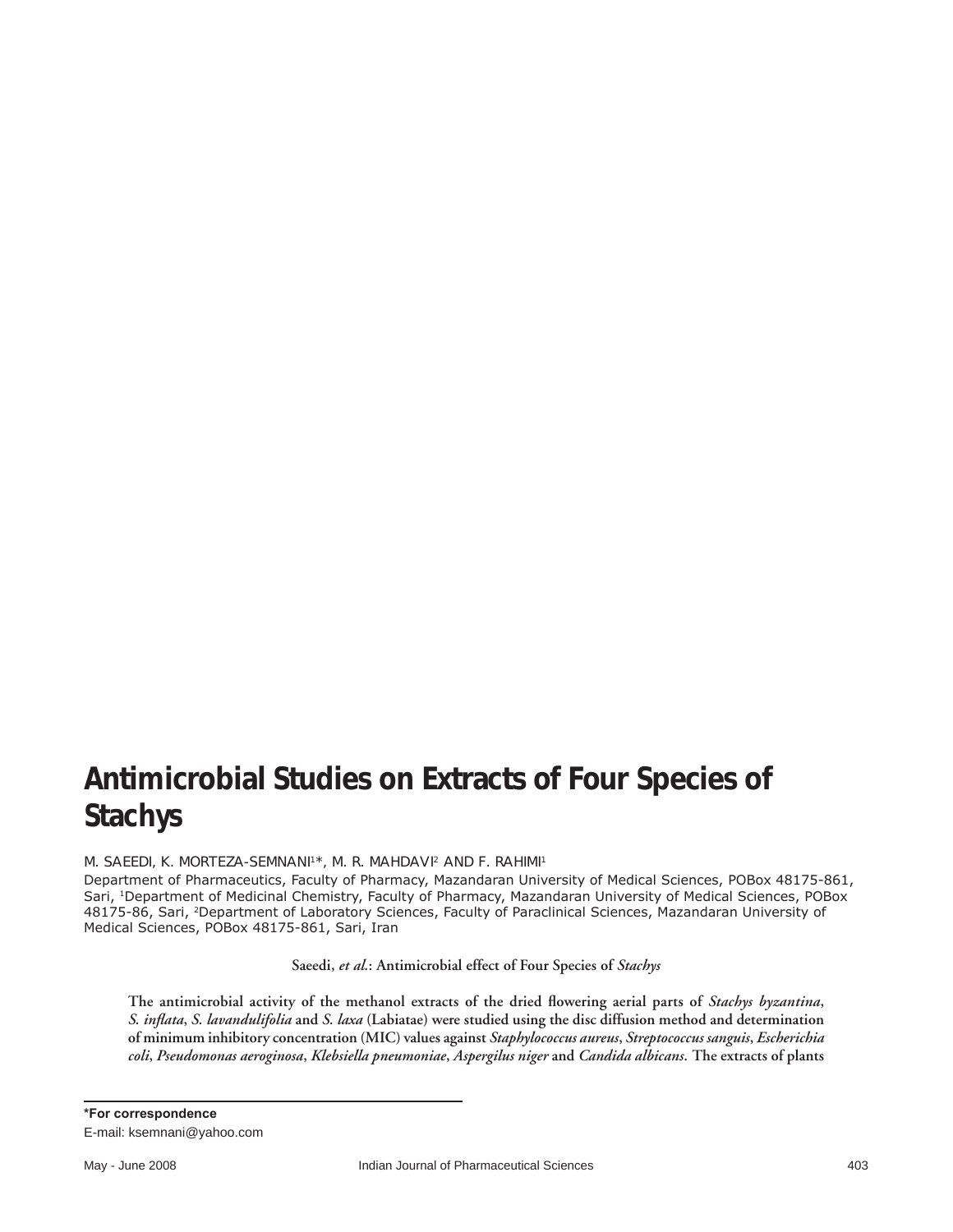## **Antimicrobial Studies on Extracts of Four Species of**  *Stachys*

M. SAEEDI, K. MORTEZA-SEMNANI<sup>1\*</sup>, M. R. MAHDAVI<sup>2</sup> AND F. RAHIMI<sup>1</sup>

Department of Pharmaceutics, Faculty of Pharmacy, Mazandaran University of Medical Sciences, POBox 48175-861, Sari, 1Department of Medicinal Chemistry, Faculty of Pharmacy, Mazandaran University of Medical Sciences, POBox 48175-86, Sari, 2Department of Laboratory Sciences, Faculty of Paraclinical Sciences, Mazandaran University of Medical Sciences, POBox 48175-861, Sari, Iran

**Saeedi,** *et al.***: Antimicrobial effect of Four Species of** *Stachys*

The antimicrobial activity of the methanol extracts of the dried flowering aerial parts of *Stachys byzantina*, *S. infl ata***,** *S. lavandulifolia* **and** *S. laxa* **(Labiatae) were studied using the disc diffusion method and determination of minimum inhibitory concentration (MIC) values against** *Staphylococcus aureus***,** *Streptococcus sanguis***,** *Escherichia coli***,** *Pseudomonas aeroginosa***,** *Klebsiella pneumoniae***,** *Aspergilus niger* **and** *Candida albicans***. The extracts of plants**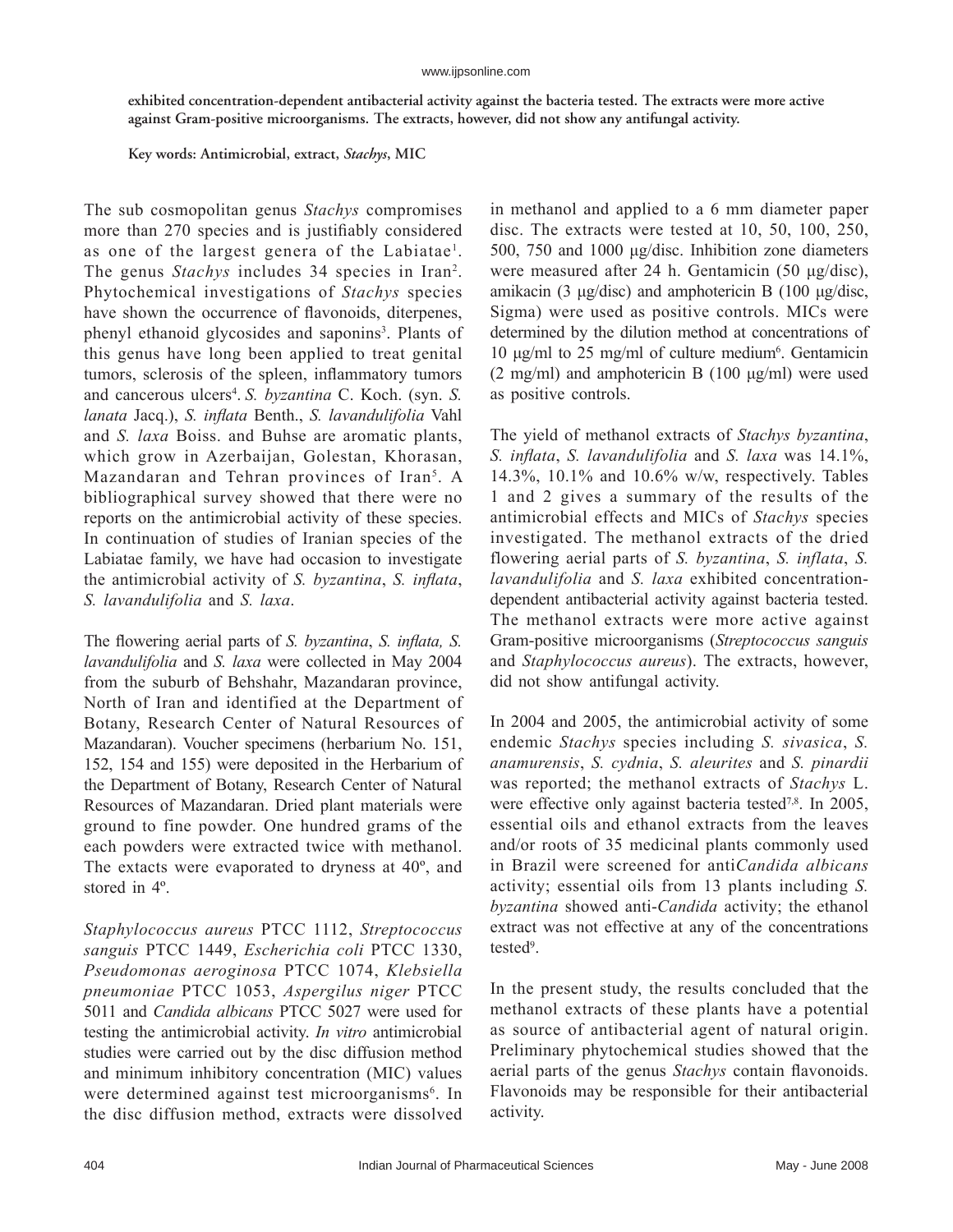**exhibited concentration-dependent antibacterial activity against the bacteria tested. The extracts were more active against Gram-positive microorganisms. The extracts, however, did not show any antifungal activity.** 

**Key words: Antimicrobial, extract,** *Stachys***, MIC**

The sub cosmopolitan genus *Stachys* compromises more than 270 species and is justifiably considered as one of the largest genera of the Labiatae<sup>1</sup>. The genus *Stachys* includes 34 species in Iran<sup>2</sup>. Phytochemical investigations of *Stachys* species have shown the occurrence of flavonoids, diterpenes, phenyl ethanoid glycosides and saponins<sup>3</sup>. Plants of this genus have long been applied to treat genital tumors, sclerosis of the spleen, inflammatory tumors and cancerous ulcers<sup>4</sup>. S. *byzantina* C. Koch. (syn. S. *lanata* Jacq.), *S. infl ata* Benth., *S. lavandulifolia* Vahl and *S. laxa* Boiss. and Buhse are aromatic plants, which grow in Azerbaijan, Golestan, Khorasan, Mazandaran and Tehran provinces of Iran<sup>5</sup>. A bibliographical survey showed that there were no reports on the antimicrobial activity of these species. In continuation of studies of Iranian species of the Labiatae family, we have had occasion to investigate the antimicrobial activity of *S. byzantina*, *S. inflata*, *S. lavandulifolia* and *S. laxa*.

The flowering aerial parts of *S. byzantina*, *S. inflata*, *S. lavandulifolia* and *S. laxa* were collected in May 2004 from the suburb of Behshahr, Mazandaran province, North of Iran and identified at the Department of Botany, Research Center of Natural Resources of Mazandaran). Voucher specimens (herbarium No. 151, 152, 154 and 155) were deposited in the Herbarium of the Department of Botany, Research Center of Natural Resources of Mazandaran. Dried plant materials were ground to fine powder. One hundred grams of the each powders were extracted twice with methanol. The extacts were evaporated to dryness at 40º, and stored in 4º.

*Staphylococcus aureus* PTCC 1112, *Streptococcus sanguis* PTCC 1449, *Escherichia coli* PTCC 1330, *Pseudomonas aeroginosa* PTCC 1074, *Klebsiella pneumoniae* PTCC 1053, *Aspergilus niger* PTCC 5011 and *Candida albicans* PTCC 5027 were used for testing the antimicrobial activity. *In vitro* antimicrobial studies were carried out by the disc diffusion method and minimum inhibitory concentration (MIC) values were determined against test microorganisms<sup>6</sup>. In the disc diffusion method, extracts were dissolved

in methanol and applied to a 6 mm diameter paper disc. The extracts were tested at 10, 50, 100, 250, 500, 750 and 1000 μg/disc. Inhibition zone diameters were measured after 24 h. Gentamicin (50 μg/disc), amikacin (3 μg/disc) and amphotericin B (100 μg/disc, Sigma) were used as positive controls. MICs were determined by the dilution method at concentrations of  $10 \mu g/ml$  to 25 mg/ml of culture medium<sup>6</sup>. Gentamicin  $(2 \text{ mg/ml})$  and amphotericin B  $(100 \text{ µg/ml})$  were used as positive controls.

The yield of methanol extracts of *Stachys byzantina*, *S. infl ata*, *S. lavandulifolia* and *S. laxa* was 14.1%, 14.3%, 10.1% and 10.6% w/w, respectively. Tables 1 and 2 gives a summary of the results of the antimicrobial effects and MICs of *Stachys* species investigated. The methanol extracts of the dried flowering aerial parts of *S. byzantina*, *S. inflata*, *S. lavandulifolia* and *S. laxa* exhibited concentrationdependent antibacterial activity against bacteria tested. The methanol extracts were more active against Gram-positive microorganisms (*Streptococcus sanguis* and *Staphylococcus aureus*). The extracts, however, did not show antifungal activity.

In 2004 and 2005, the antimicrobial activity of some endemic *Stachys* species including *S. sivasica*, *S. anamurensis*, *S. cydnia*, *S. aleurites* and *S. pinardii* was reported; the methanol extracts of *Stachys* L. were effective only against bacteria tested<sup>7,8</sup>. In 2005, essential oils and ethanol extracts from the leaves and/or roots of 35 medicinal plants commonly used in Brazil were screened for anti*Candida albicans* activity; essential oils from 13 plants including *S. byzantina* showed anti-*Candida* activity; the ethanol extract was not effective at any of the concentrations tested<sup>9</sup>.

In the present study, the results concluded that the methanol extracts of these plants have a potential as source of antibacterial agent of natural origin. Preliminary phytochemical studies showed that the aerial parts of the genus *Stachys* contain flavonoids. Flavonoids may be responsible for their antibacterial activity.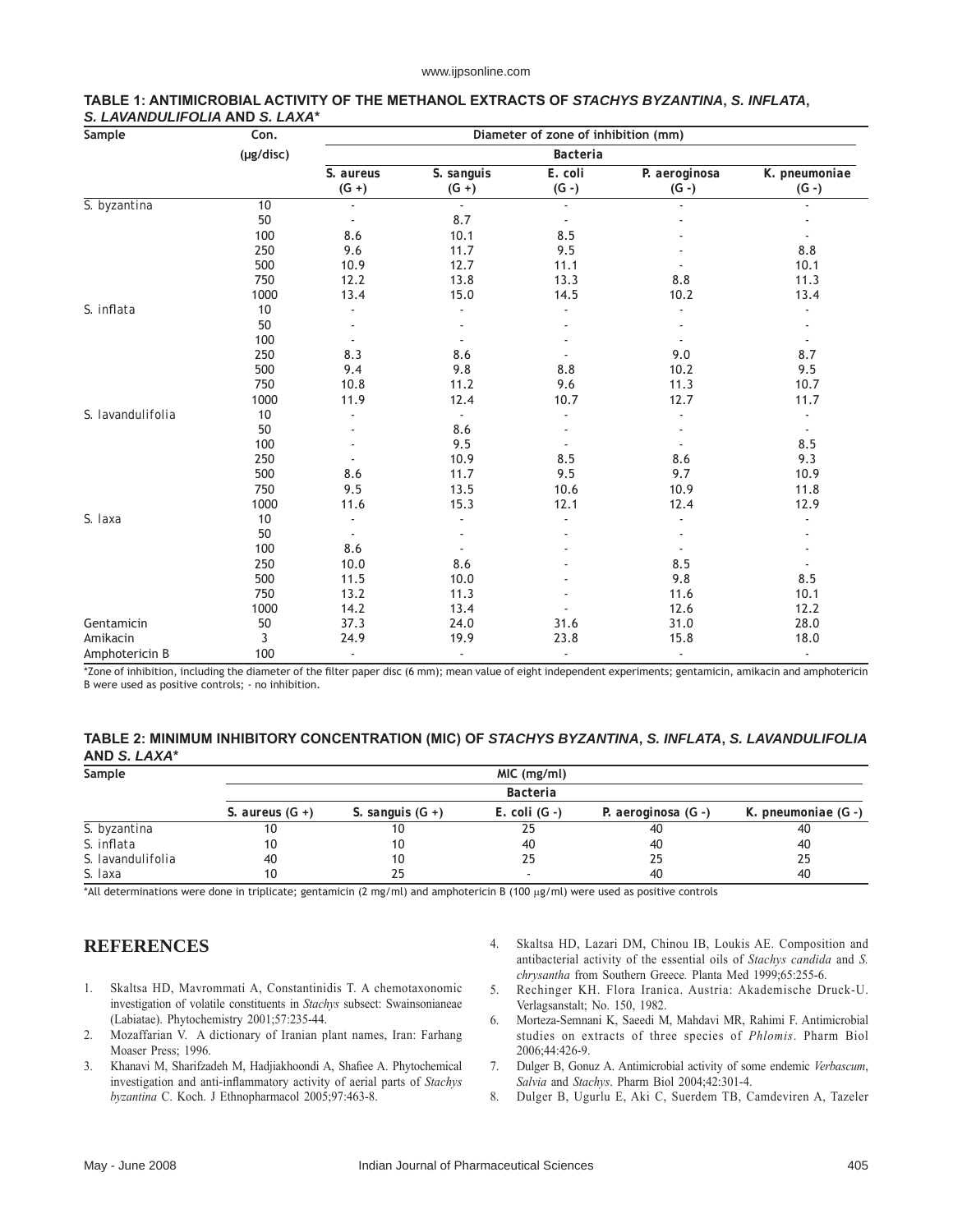| Sample            | Con.<br>(µg/disc) | Diameter of zone of inhibition (mm)<br><b>Bacteria</b> |      |      |                |        |  |
|-------------------|-------------------|--------------------------------------------------------|------|------|----------------|--------|--|
|                   |                   |                                                        |      |      |                |        |  |
|                   |                   | S. byzantina                                           | 10   |      | $\blacksquare$ | $\sim$ |  |
| 50                |                   |                                                        | 8.7  |      |                |        |  |
| 100               | 8.6               |                                                        | 10.1 | 8.5  |                |        |  |
| 250               | 9.6               |                                                        | 11.7 | 9.5  |                | 8.8    |  |
| 500               | 10.9              |                                                        | 12.7 | 11.1 |                | 10.1   |  |
| 750               | 12.2              |                                                        | 13.8 | 13.3 | 8.8            | 11.3   |  |
| 1000              | 13.4              |                                                        | 15.0 | 14.5 | 10.2           | 13.4   |  |
| S. inflata        | 10                |                                                        |      |      |                |        |  |
|                   | 50                |                                                        |      |      |                |        |  |
|                   | 100               |                                                        |      |      |                |        |  |
|                   | 250               | 8.3                                                    | 8.6  |      | 9.0            | 8.7    |  |
|                   | 500               | 9.4                                                    | 9.8  | 8.8  | 10.2           | 9.5    |  |
|                   | 750               | 10.8                                                   | 11.2 | 9.6  | 11.3           | 10.7   |  |
|                   | 1000              | 11.9                                                   | 12.4 | 10.7 | 12.7           | 11.7   |  |
| S. lavandulifolia | 10                |                                                        |      |      |                |        |  |
|                   | 50                |                                                        | 8.6  |      |                |        |  |
|                   | 100               |                                                        | 9.5  |      |                | 8.5    |  |
|                   | 250               |                                                        | 10.9 | 8.5  | 8.6            | 9.3    |  |
|                   | 500               | 8.6                                                    | 11.7 | 9.5  | 9.7            | 10.9   |  |
|                   | 750               | 9.5                                                    | 13.5 | 10.6 | 10.9           | 11.8   |  |
|                   | 1000              | 11.6                                                   | 15.3 | 12.1 | 12.4           | 12.9   |  |
| S. laxa           | 10                |                                                        |      |      |                |        |  |
|                   | 50                |                                                        |      |      |                |        |  |
|                   | 100               | 8.6                                                    |      |      |                |        |  |
|                   | 250               | 10.0                                                   | 8.6  |      | 8.5            |        |  |
|                   | 500               | 11.5                                                   | 10.0 |      | 9.8            | 8.5    |  |
|                   | 750               | 13.2                                                   | 11.3 |      | 11.6           | 10.1   |  |
|                   | 1000              | 14.2                                                   | 13.4 |      | 12.6           | 12.2   |  |
| Gentamicin        | 50                | 37.3                                                   | 24.0 | 31.6 | 31.0           | 28.0   |  |
| Amikacin          | 3                 | 24.9                                                   | 19.9 | 23.8 | 15.8           | 18.0   |  |
| Amphotericin B    | 100               | ÷,                                                     | ä,   |      |                |        |  |

## **TABLE 1: ANTIMICROBIAL ACTIVITY OF THE METHANOL EXTRACTS OF** *STACHYS BYZANTINA***,** *S. INFLATA***,**  *S. LAVANDULIFOLIA* **AND** *S. LAXA***\***

\*Zone of inhibition, including the diameter of the filter paper disc (6 mm); mean value of eight independent experiments; gentamicin, amikacin and amphotericin B were used as positive controls; - no inhibition.

## **TABLE 2: MINIMUM INHIBITORY CONCENTRATION (MIC) OF** *STACHYS BYZANTINA***,** *S. INFLATA***,** *S. LAVANDULIFOLIA*  **AND** *S. LAXA***\***

| Sample            | MIC (mg/ml)<br>Bacteria |    |                |    |    |     |  |  |
|-------------------|-------------------------|----|----------------|----|----|-----|--|--|
|                   |                         |    |                |    |    |     |  |  |
|                   | S. byzantina            | 10 | 10             | 25 | 40 | -40 |  |  |
| S. inflata        | 10                      | 10 | 40             | 40 | 40 |     |  |  |
| S. lavandulifolia | 40                      | 10 | 25             | 25 | 25 |     |  |  |
| S. Jaxa           | 10                      | 25 | $\overline{a}$ | 40 | 40 |     |  |  |

\*All determinations were done in triplicate; gentamicin (2 mg/ml) and amphotericin B (100 µg/ml) were used as positive controls

## **REFERENCES**

- 1. Skaltsa HD, Mavrommati A, Constantinidis T. A chemotaxonomic investigation of volatile constituents in *Stachys* subsect: Swainsonianeae (Labiatae). Phytochemistry 2001;57:235-44.
- 2. Mozaffarian V. A dictionary of Iranian plant names, Iran: Farhang Moaser Press; 1996.
- 3. Khanavi M, Sharifzadeh M, Hadjiakhoondi A, Shafiee A. Phytochemical investigation and anti-inflammatory activity of aerial parts of *Stachys byzantina* C. Koch. J Ethnopharmacol 2005;97:463-8.
- 4. Skaltsa HD, Lazari DM, Chinou IB, Loukis AE. Composition and antibacterial activity of the essential oils of *Stachys candida* and *S. chrysantha* from Southern Greece*.* Planta Med 1999;65:255-6.
- 5. Rechinger KH. Flora Iranica. Austria: Akademische Druck-U. Verlagsanstalt; No. 150, 1982.
- 6. Morteza-Semnani K, Saeedi M, Mahdavi MR, Rahimi F. Antimicrobial studies on extracts of three species of *Phlomis*. Pharm Biol 2006;44:426-9.
- 7. Dulger B, Gonuz A. Antimicrobial activity of some endemic *Verbascum*, *Salvia* and *Stachys*. Pharm Biol 2004;42:301-4.
- 8. Dulger B, Ugurlu E, Aki C, Suerdem TB, Camdeviren A, Tazeler